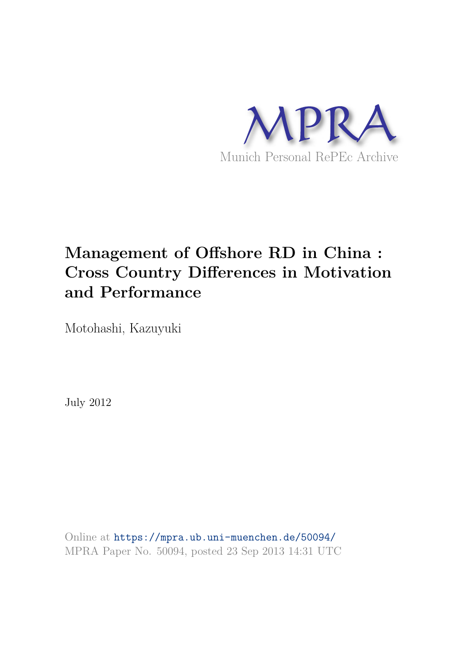

# **Management of Offshore RD in China : Cross Country Differences in Motivation and Performance**

Motohashi, Kazuyuki

July 2012

Online at https://mpra.ub.uni-muenchen.de/50094/ MPRA Paper No. 50094, posted 23 Sep 2013 14:31 UTC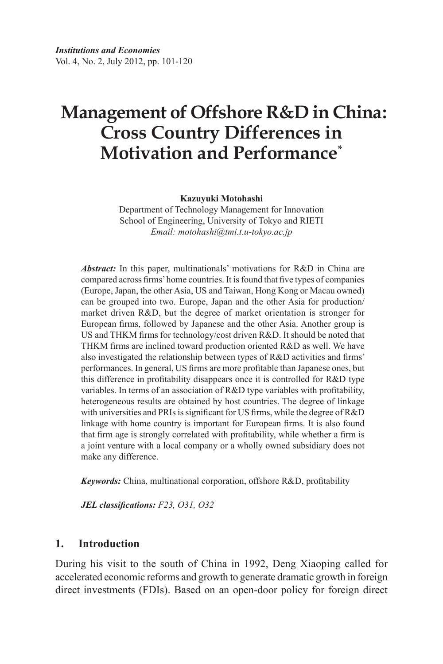# **Cross Country Differences in Motivation and Performance\* Management of Offshore R&D in China:**

**Kazuyuki Motohashi**

Department of Technology Management for Innovation School of Engineering, University of Tokyo and RIETI *Email: motohashi@tmi.t.u-tokyo.ac.jp*

*Abstract:* In this paper, multinationals' motivations for R&D in China are compared across firms' home countries. It is found that five types of companies (Europe, Japan, the other Asia, US and Taiwan, Hong Kong or Macau owned) can be grouped into two. Europe, Japan and the other Asia for production/ market driven R&D, but the degree of market orientation is stronger for European firms, followed by Japanese and the other Asia. Another group is US and THKM firms for technology/cost driven R&D. It should be noted that THKM firms are inclined toward production oriented R&D as well. We have also investigated the relationship between types of R&D activities and firms' performances. In general, US firms are more profitable than Japanese ones, but this difference in profitability disappears once it is controlled for R&D type variables. In terms of an association of R&D type variables with profitability, heterogeneous results are obtained by host countries. The degree of linkage with universities and PRIs is significant for US firms, while the degree of R&D linkage with home country is important for European firms. It is also found that firm age is strongly correlated with profitability, while whether a firm is a joint venture with a local company or a wholly owned subsidiary does not make any difference.

*Keywords:* China, multinational corporation, offshore R&D, profitability

*JEL classifications: F23, O31, O32*

#### **1. Introduction**

During his visit to the south of China in 1992, Deng Xiaoping called for accelerated economic reforms and growth to generate dramatic growth in foreign direct investments (FDIs). Based on an open-door policy for foreign direct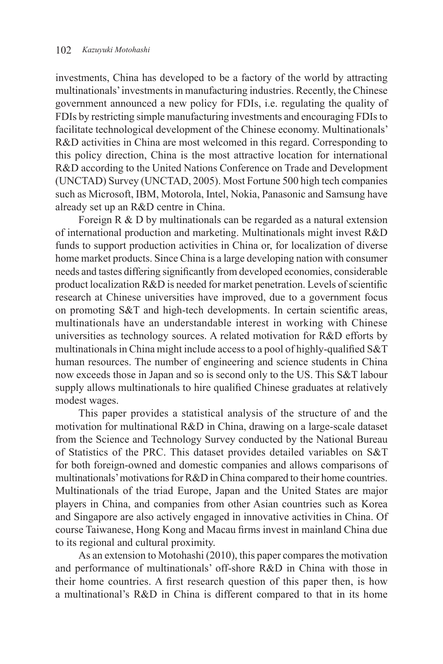investments, China has developed to be a factory of the world by attracting multinationals' investments in manufacturing industries. Recently, the Chinese government announced a new policy for FDIs, i.e. regulating the quality of FDIs by restricting simple manufacturing investments and encouraging FDIs to facilitate technological development of the Chinese economy. Multinationals' R&D activities in China are most welcomed in this regard. Corresponding to this policy direction, China is the most attractive location for international R&D according to the United Nations Conference on Trade and Development (UNCTAD) Survey (UNCTAD, 2005). Most Fortune 500 high tech companies such as Microsoft, IBM, Motorola, Intel, Nokia, Panasonic and Samsung have already set up an R&D centre in China.

Foreign R & D by multinationals can be regarded as a natural extension of international production and marketing. Multinationals might invest R&D funds to support production activities in China or, for localization of diverse home market products. Since China is a large developing nation with consumer needs and tastes differing significantly from developed economies, considerable product localization R&D is needed for market penetration. Levels of scientific research at Chinese universities have improved, due to a government focus on promoting S&T and high-tech developments. In certain scientific areas, multinationals have an understandable interest in working with Chinese universities as technology sources. A related motivation for R&D efforts by multinationals in China might include access to a pool of highly-qualified S&T human resources. The number of engineering and science students in China now exceeds those in Japan and so is second only to the US. This S&T labour supply allows multinationals to hire qualified Chinese graduates at relatively modest wages.

This paper provides a statistical analysis of the structure of and the motivation for multinational R&D in China, drawing on a large-scale dataset from the Science and Technology Survey conducted by the National Bureau of Statistics of the PRC. This dataset provides detailed variables on S&T for both foreign-owned and domestic companies and allows comparisons of multinationals' motivations for R&D in China compared to their home countries. Multinationals of the triad Europe, Japan and the United States are major players in China, and companies from other Asian countries such as Korea and Singapore are also actively engaged in innovative activities in China. Of course Taiwanese, Hong Kong and Macau firms invest in mainland China due to its regional and cultural proximity.

As an extension to Motohashi (2010), this paper compares the motivation and performance of multinationals' off-shore R&D in China with those in their home countries. A first research question of this paper then, is how a multinational's R&D in China is different compared to that in its home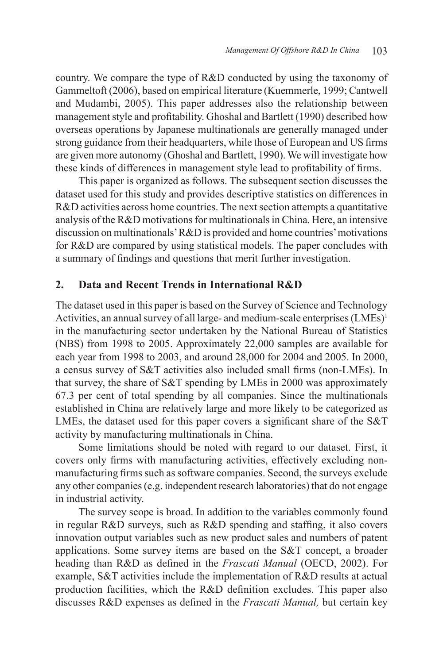country. We compare the type of R&D conducted by using the taxonomy of Gammeltoft (2006), based on empirical literature (Kuemmerle, 1999; Cantwell and Mudambi, 2005). This paper addresses also the relationship between management style and profitability. Ghoshal and Bartlett (1990) described how overseas operations by Japanese multinationals are generally managed under strong guidance from their headquarters, while those of European and US firms are given more autonomy (Ghoshal and Bartlett, 1990). We will investigate how these kinds of differences in management style lead to profitability of firms.

This paper is organized as follows. The subsequent section discusses the dataset used for this study and provides descriptive statistics on differences in R&D activities across home countries. The next section attempts a quantitative analysis of the R&D motivations for multinationals in China. Here, an intensive discussion on multinationals' R&D is provided and home countries' motivations for R&D are compared by using statistical models. The paper concludes with a summary of findings and questions that merit further investigation.

## **2. Data and Recent Trends in International R&D**

The dataset used in this paper is based on the Survey of Science and Technology Activities, an annual survey of all large- and medium-scale enterprises (LMEs)<sup>1</sup> in the manufacturing sector undertaken by the National Bureau of Statistics (NBS) from 1998 to 2005. Approximately 22,000 samples are available for each year from 1998 to 2003, and around 28,000 for 2004 and 2005. In 2000, a census survey of S&T activities also included small firms (non-LMEs). In that survey, the share of S&T spending by LMEs in 2000 was approximately 67.3 per cent of total spending by all companies. Since the multinationals established in China are relatively large and more likely to be categorized as LMEs, the dataset used for this paper covers a significant share of the S&T activity by manufacturing multinationals in China.

Some limitations should be noted with regard to our dataset. First, it covers only firms with manufacturing activities, effectively excluding nonmanufacturing firms such as software companies. Second, the surveys exclude any other companies (e.g. independent research laboratories) that do not engage in industrial activity.

The survey scope is broad. In addition to the variables commonly found in regular R&D surveys, such as R&D spending and staffing, it also covers innovation output variables such as new product sales and numbers of patent applications. Some survey items are based on the S&T concept, a broader heading than R&D as defined in the *Frascati Manual* (OECD, 2002). For example, S&T activities include the implementation of R&D results at actual production facilities, which the R&D definition excludes. This paper also discusses R&D expenses as defined in the *Frascati Manual,* but certain key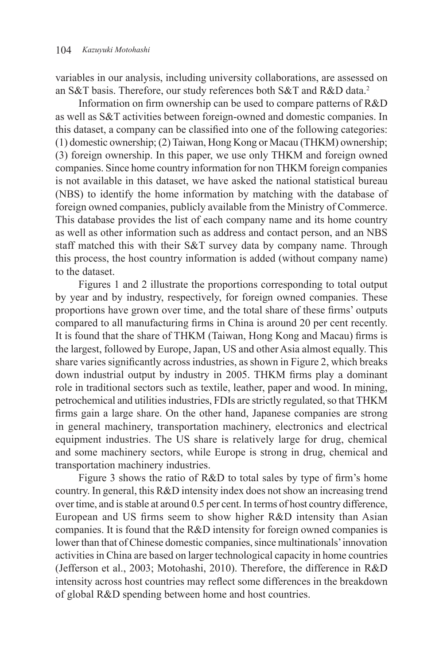variables in our analysis, including university collaborations, are assessed on an S&T basis. Therefore, our study references both S&T and R&D data.<sup>2</sup>

Information on firm ownership can be used to compare patterns of R&D as well as S&T activities between foreign-owned and domestic companies. In this dataset, a company can be classified into one of the following categories: (1) domestic ownership; (2) Taiwan, Hong Kong or Macau (THKM) ownership; (3) foreign ownership. In this paper, we use only THKM and foreign owned companies. Since home country information for non THKM foreign companies is not available in this dataset, we have asked the national statistical bureau (NBS) to identify the home information by matching with the database of foreign owned companies, publicly available from the Ministry of Commerce. This database provides the list of each company name and its home country as well as other information such as address and contact person, and an NBS staff matched this with their S&T survey data by company name. Through this process, the host country information is added (without company name) to the dataset.

Figures 1 and 2 illustrate the proportions corresponding to total output by year and by industry, respectively, for foreign owned companies. These proportions have grown over time, and the total share of these firms' outputs compared to all manufacturing firms in China is around 20 per cent recently. It is found that the share of THKM (Taiwan, Hong Kong and Macau) firms is the largest, followed by Europe, Japan, US and other Asia almost equally. This share varies significantly across industries, as shown in Figure 2, which breaks down industrial output by industry in 2005. THKM firms play a dominant role in traditional sectors such as textile, leather, paper and wood. In mining, petrochemical and utilities industries, FDIs are strictly regulated, so that THKM firms gain a large share. On the other hand, Japanese companies are strong in general machinery, transportation machinery, electronics and electrical equipment industries. The US share is relatively large for drug, chemical and some machinery sectors, while Europe is strong in drug, chemical and transportation machinery industries.

Figure 3 shows the ratio of R&D to total sales by type of firm's home country. In general, this R&D intensity index does not show an increasing trend over time, and is stable at around 0.5 per cent. In terms of host country difference, European and US firms seem to show higher R&D intensity than Asian companies. It is found that the R&D intensity for foreign owned companies is lower than that of Chinese domestic companies, since multinationals' innovation activities in China are based on larger technological capacity in home countries (Jefferson et al., 2003; Motohashi, 2010). Therefore, the difference in R&D intensity across host countries may reflect some differences in the breakdown of global R&D spending between home and host countries.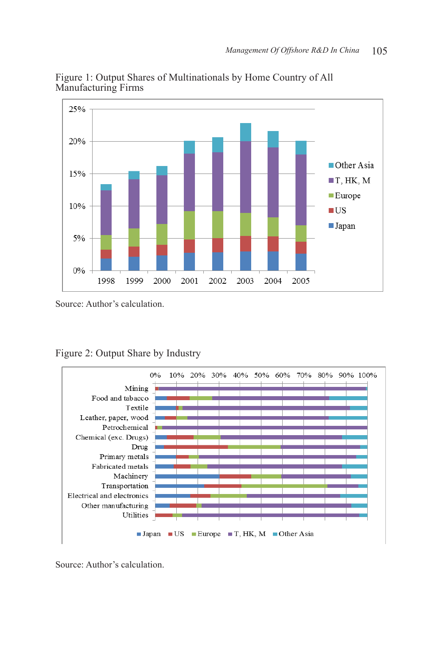

Figure 1: Output Shares of Multinationals by Home Country of All Manufacturing Firms

Source: Author's calculation.

Figure 2: Output Share by Industry



Source: Author's calculation.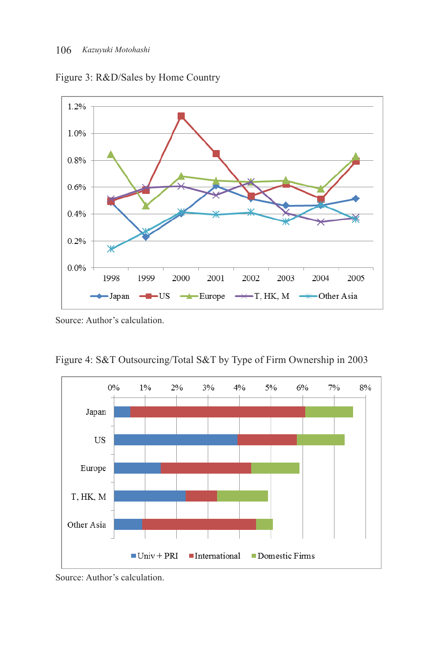



Source: Author's calculation.

Figure 4: S&T Outsourcing/Total S&T by Type of Firm Ownership in 2003



Source: Author's calculation.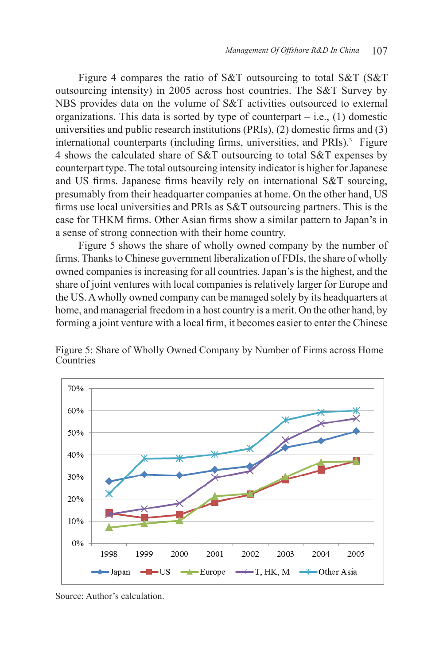Figure 4 compares the ratio of S&T outsourcing to total S&T (S&T outsourcing intensity) in 2005 across host countries. The S&T Survey by NBS provides data on the volume of S&T activities outsourced to external organizations. This data is sorted by type of counterpart  $-$  i.e., (1) domestic universities and public research institutions (PRIs), (2) domestic firms and (3) international counterparts (including firms, universities, and PRIs).<sup>3</sup> Figure 4 shows the calculated share of S&T outsourcing to total S&T expenses by counterpart type. The total outsourcing intensity indicator is higher for Japanese and US firms. Japanese firms heavily rely on international S&T sourcing, presumably from their headquarter companies at home. On the other hand, US firms use local universities and PRIs as S&T outsourcing partners. This is the case for THKM firms. Other Asian firms show a similar pattern to Japan's in a sense of strong connection with their home country.

Figure 5 shows the share of wholly owned company by the number of firms. Thanks to Chinese government liberalization of FDIs, the share of wholly owned companies is increasing for all countries. Japan's is the highest, and the share of joint ventures with local companies is relatively larger for Europe and the US. A wholly owned company can be managed solely by its headquarters at home, and managerial freedom in a host country is a merit. On the other hand, by forming a joint venture with a local firm, it becomes easier to enter the Chinese



Figure 5: Share of Wholly Owned Company by Number of Firms across Home **Countries** 

Source: Author's calculation.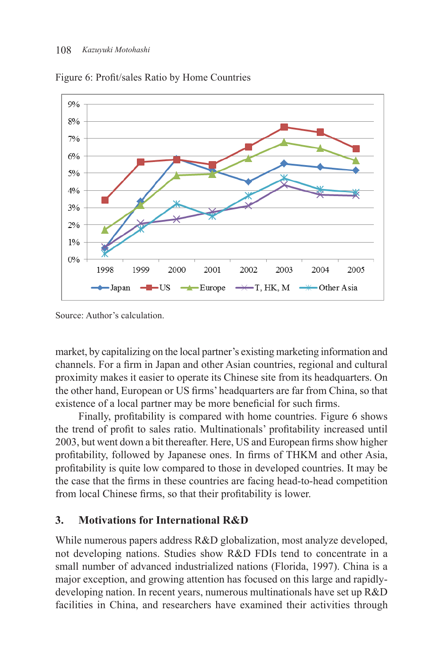

Figure 6: Profit/sales Ratio by Home Countries

Source: Author's calculation.

market, by capitalizing on the local partner's existing marketing information and channels. For a firm in Japan and other Asian countries, regional and cultural proximity makes it easier to operate its Chinese site from its headquarters. On the other hand, European or US firms' headquarters are far from China, so that existence of a local partner may be more beneficial for such firms.

Finally, profitability is compared with home countries. Figure 6 shows the trend of profit to sales ratio. Multinationals' profitability increased until 2003, but went down a bit thereafter. Here, US and European firms show higher profitability, followed by Japanese ones. In firms of THKM and other Asia, profitability is quite low compared to those in developed countries. It may be the case that the firms in these countries are facing head-to-head competition from local Chinese firms, so that their profitability is lower.

# **3. Motivations for International R&D**

While numerous papers address R&D globalization, most analyze developed, not developing nations. Studies show R&D FDIs tend to concentrate in a small number of advanced industrialized nations (Florida, 1997). China is a major exception, and growing attention has focused on this large and rapidlydeveloping nation. In recent years, numerous multinationals have set up R&D facilities in China, and researchers have examined their activities through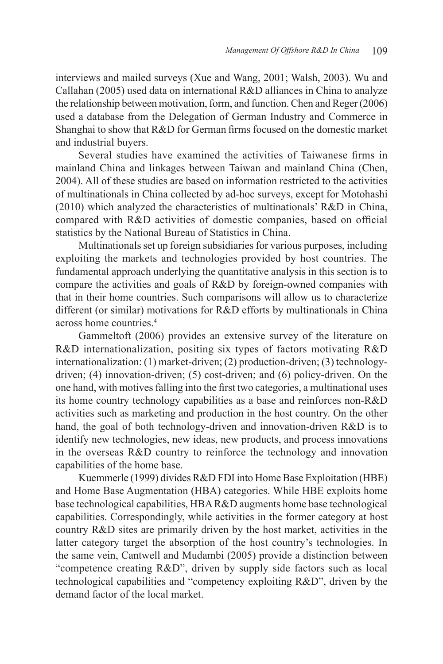interviews and mailed surveys (Xue and Wang, 2001; Walsh, 2003). Wu and Callahan (2005) used data on international R&D alliances in China to analyze the relationship between motivation, form, and function. Chen and Reger (2006) used a database from the Delegation of German Industry and Commerce in Shanghai to show that R&D for German firms focused on the domestic market and industrial buyers.

Several studies have examined the activities of Taiwanese firms in mainland China and linkages between Taiwan and mainland China (Chen, 2004). All of these studies are based on information restricted to the activities of multinationals in China collected by ad-hoc surveys, except for Motohashi (2010) which analyzed the characteristics of multinationals' R&D in China, compared with R&D activities of domestic companies, based on official statistics by the National Bureau of Statistics in China.

Multinationals set up foreign subsidiaries for various purposes, including exploiting the markets and technologies provided by host countries. The fundamental approach underlying the quantitative analysis in this section is to compare the activities and goals of R&D by foreign-owned companies with that in their home countries. Such comparisons will allow us to characterize different (or similar) motivations for R&D efforts by multinationals in China across home countries.<sup>4</sup>

Gammeltoft (2006) provides an extensive survey of the literature on R&D internationalization, positing six types of factors motivating R&D internationalization: (1) market-driven; (2) production-driven; (3) technologydriven; (4) innovation-driven; (5) cost-driven; and (6) policy-driven. On the one hand, with motives falling into the first two categories, a multinational uses its home country technology capabilities as a base and reinforces non-R&D activities such as marketing and production in the host country. On the other hand, the goal of both technology-driven and innovation-driven R&D is to identify new technologies, new ideas, new products, and process innovations in the overseas R&D country to reinforce the technology and innovation capabilities of the home base.

Kuemmerle (1999) divides R&D FDI into Home Base Exploitation (HBE) and Home Base Augmentation (HBA) categories. While HBE exploits home base technological capabilities, HBA R&D augments home base technological capabilities. Correspondingly, while activities in the former category at host country R&D sites are primarily driven by the host market, activities in the latter category target the absorption of the host country's technologies. In the same vein, Cantwell and Mudambi (2005) provide a distinction between "competence creating R&D", driven by supply side factors such as local technological capabilities and "competency exploiting R&D", driven by the demand factor of the local market.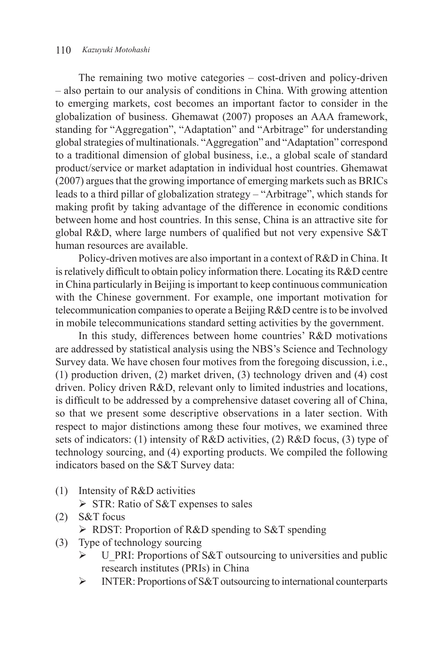The remaining two motive categories – cost-driven and policy-driven – also pertain to our analysis of conditions in China. With growing attention to emerging markets, cost becomes an important factor to consider in the globalization of business. Ghemawat (2007) proposes an AAA framework, standing for "Aggregation", "Adaptation" and "Arbitrage" for understanding global strategies of multinationals. "Aggregation" and "Adaptation" correspond to a traditional dimension of global business, i.e., a global scale of standard product/service or market adaptation in individual host countries. Ghemawat (2007) argues that the growing importance of emerging markets such as BRICs leads to a third pillar of globalization strategy – "Arbitrage", which stands for making profit by taking advantage of the difference in economic conditions between home and host countries. In this sense, China is an attractive site for global R&D, where large numbers of qualified but not very expensive S&T human resources are available.

Policy-driven motives are also important in a context of R&D in China. It is relatively difficult to obtain policy information there. Locating its R&D centre in China particularly in Beijing is important to keep continuous communication with the Chinese government. For example, one important motivation for telecommunication companies to operate a Beijing R&D centre is to be involved in mobile telecommunications standard setting activities by the government.

In this study, differences between home countries' R&D motivations are addressed by statistical analysis using the NBS's Science and Technology Survey data. We have chosen four motives from the foregoing discussion, i.e., (1) production driven, (2) market driven, (3) technology driven and (4) cost driven. Policy driven R&D, relevant only to limited industries and locations, is difficult to be addressed by a comprehensive dataset covering all of China, so that we present some descriptive observations in a later section. With respect to major distinctions among these four motives, we examined three sets of indicators: (1) intensity of R&D activities, (2) R&D focus, (3) type of technology sourcing, and (4) exporting products. We compiled the following indicators based on the S&T Survey data:

- (1) Intensity of R&D activities
	- $\triangleright$  STR: Ratio of S&T expenses to sales
- (2) S&T focus

 $\triangleright$  RDST: Proportion of R&D spending to S&T spending

- (3) Type of technology sourcing
	- $\triangleright$  U PRI: Proportions of S&T outsourcing to universities and public research institutes (PRIs) in China
	- INTER: Proportions of S&T outsourcing to international counterparts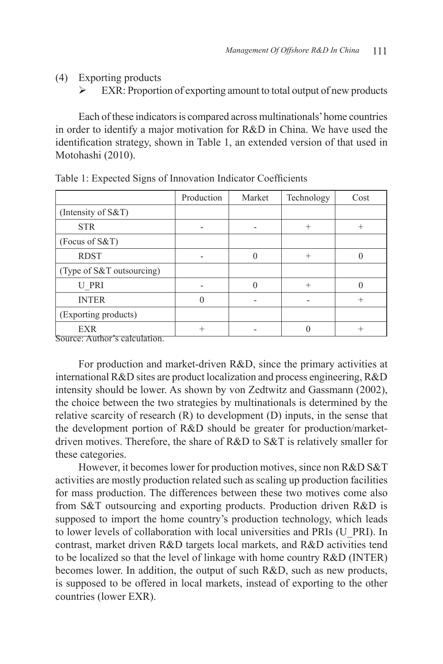(4) Exporting products

 $\triangleright$  EXR: Proportion of exporting amount to total output of new products

Each of these indicators is compared across multinationals' home countries in order to identify a major motivation for R&D in China. We have used the identification strategy, shown in Table 1, an extended version of that used in Motohashi (2010).

|                                                                      | Production | Market | Technology | Cost |
|----------------------------------------------------------------------|------------|--------|------------|------|
| (Intensity of S&T)                                                   |            |        |            |      |
| <b>STR</b>                                                           |            |        | $^{+}$     |      |
| (Focus of $S&T$ )                                                    |            |        |            |      |
| <b>RDST</b>                                                          |            |        |            |      |
| (Type of S&T outsourcing)                                            |            |        |            |      |
| <b>U PRI</b>                                                         |            |        | $^{+}$     |      |
| <b>INTER</b>                                                         |            |        |            |      |
| (Exporting products)                                                 |            |        |            |      |
| <b>EXR</b><br>$C_{\alpha\mu\alpha\alpha\gamma}$ Author's coloulation |            |        |            |      |

Table 1: Expected Signs of Innovation Indicator Coefficients

Source: Author's calculation.

For production and market-driven R&D, since the primary activities at international R&D sites are product localization and process engineering, R&D intensity should be lower. As shown by von Zedtwitz and Gassmann (2002), the choice between the two strategies by multinationals is determined by the relative scarcity of research (R) to development (D) inputs, in the sense that the development portion of R&D should be greater for production/marketdriven motives. Therefore, the share of R&D to S&T is relatively smaller for these categories.

However, it becomes lower for production motives, since non R&D S&T activities are mostly production related such as scaling up production facilities for mass production. The differences between these two motives come also from S&T outsourcing and exporting products. Production driven R&D is supposed to import the home country's production technology, which leads to lower levels of collaboration with local universities and PRIs (U\_PRI). In contrast, market driven R&D targets local markets, and R&D activities tend to be localized so that the level of linkage with home country R&D (INTER) becomes lower. In addition, the output of such R&D, such as new products, is supposed to be offered in local markets, instead of exporting to the other countries (lower EXR).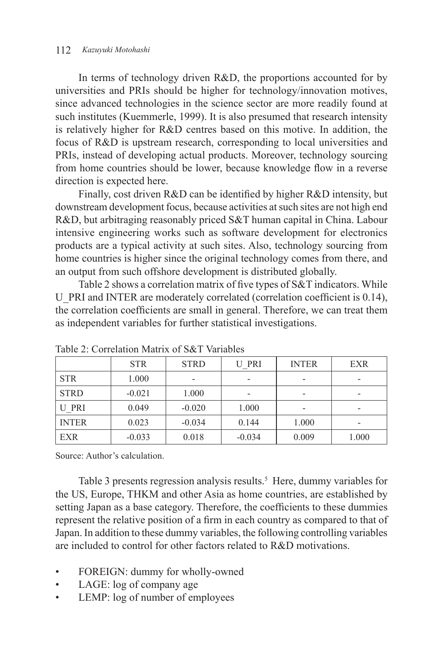#### 112 *Kazuyuki Motohashi*

In terms of technology driven R&D, the proportions accounted for by universities and PRIs should be higher for technology/innovation motives, since advanced technologies in the science sector are more readily found at such institutes (Kuemmerle, 1999). It is also presumed that research intensity is relatively higher for R&D centres based on this motive. In addition, the focus of R&D is upstream research, corresponding to local universities and PRIs, instead of developing actual products. Moreover, technology sourcing from home countries should be lower, because knowledge flow in a reverse direction is expected here.

Finally, cost driven R&D can be identified by higher R&D intensity, but downstream development focus, because activities at such sites are not high end R&D, but arbitraging reasonably priced S&T human capital in China. Labour intensive engineering works such as software development for electronics products are a typical activity at such sites. Also, technology sourcing from home countries is higher since the original technology comes from there, and an output from such offshore development is distributed globally.

Table 2 shows a correlation matrix of five types of S&T indicators. While U\_PRI and INTER are moderately correlated (correlation coefficient is 0.14), the correlation coefficients are small in general. Therefore, we can treat them as independent variables for further statistical investigations.

|              | <b>STR</b> | <b>STRD</b>              | U PRI                    | <b>INTER</b> | <b>EXR</b>               |  |
|--------------|------------|--------------------------|--------------------------|--------------|--------------------------|--|
| <b>STR</b>   | 1.000      | $\overline{\phantom{0}}$ | $\overline{\phantom{0}}$ |              | $\overline{\phantom{0}}$ |  |
| <b>STRD</b>  | $-0.021$   | 1.000                    | $\overline{\phantom{0}}$ |              | $\overline{\phantom{0}}$ |  |
| U PRI        | 0.049      | $-0.020$                 | 1.000                    |              | $\overline{\phantom{a}}$ |  |
| <b>INTER</b> | 0.023      | $-0.034$                 | 0.144                    | 1.000        | $\overline{\phantom{a}}$ |  |
| <b>EXR</b>   | $-0.033$   | 0.018                    | $-0.034$                 | 0.009        | 1.000                    |  |

Table 2: Correlation Matrix of S&T Variables

Source: Author's calculation.

Table 3 presents regression analysis results.<sup>5</sup> Here, dummy variables for the US, Europe, THKM and other Asia as home countries, are established by setting Japan as a base category. Therefore, the coefficients to these dummies represent the relative position of a firm in each country as compared to that of Japan. In addition to these dummy variables, the following controlling variables are included to control for other factors related to R&D motivations.

- FOREIGN: dummy for wholly-owned
- LAGE: log of company age
- LEMP: log of number of employees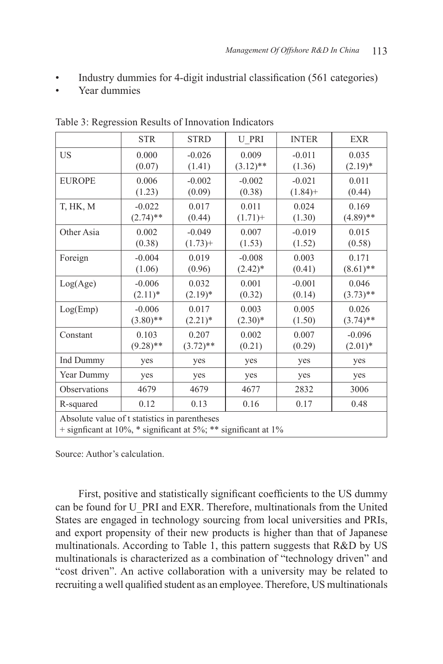- Industry dummies for 4-digit industrial classification (561 categories)
- Year dummies

|                                                                                                                 | <b>STR</b>  | <b>STRD</b> | <b>U PRI</b> | <b>INTER</b> | <b>EXR</b>  |  |
|-----------------------------------------------------------------------------------------------------------------|-------------|-------------|--------------|--------------|-------------|--|
| <b>US</b>                                                                                                       | 0.000       | $-0.026$    | 0.009        | $-0.011$     | 0.035       |  |
|                                                                                                                 | (0.07)      | (1.41)      | $(3.12)$ **  | (1.36)       | $(2.19)*$   |  |
| <b>EUROPE</b>                                                                                                   | 0.006       | $-0.002$    | $-0.002$     | $-0.021$     | 0.011       |  |
|                                                                                                                 | (1.23)      | (0.09)      | (0.38)       | $(1.84) +$   | (0.44)      |  |
| T, HK, M                                                                                                        | $-0.022$    | 0.017       | 0.011        | 0.024        | 0.169       |  |
|                                                                                                                 | $(2.74)$ ** | (0.44)      | $(1.71) +$   | (1.30)       | $(4.89)$ ** |  |
| Other Asia                                                                                                      | 0.002       | $-0.049$    | 0.007        | $-0.019$     | 0.015       |  |
|                                                                                                                 | (0.38)      | $(1.73) +$  | (1.53)       | (1.52)       | (0.58)      |  |
| Foreign                                                                                                         | $-0.004$    | 0.019       | $-0.008$     | 0.003        | 0.171       |  |
|                                                                                                                 | (1.06)      | (0.96)      | $(2.42)^*$   | (0.41)       | $(8.61)$ ** |  |
| Log(Age)                                                                                                        | $-0.006$    | 0.032       | 0.001        | $-0.001$     | 0.046       |  |
|                                                                                                                 | $(2.11)*$   | $(2.19)^*$  | (0.32)       | (0.14)       | $(3.73)$ ** |  |
| Log(Emp)                                                                                                        | $-0.006$    | 0.017       | 0.003        | 0.005        | 0.026       |  |
|                                                                                                                 | $(3.80)$ ** | $(2.21)^*$  | $(2.30)*$    | (1.50)       | $(3.74)$ ** |  |
| Constant                                                                                                        | 0.103       | 0.207       | 0.002        | 0.007        | $-0.096$    |  |
|                                                                                                                 | $(9.28)$ ** | $(3.72)$ ** | (0.21)       | (0.29)       | $(2.01)*$   |  |
| Ind Dummy                                                                                                       | yes         | yes         | yes          | yes          | yes         |  |
| Year Dummy                                                                                                      | yes         | yes         | yes          | yes          | yes         |  |
| Observations                                                                                                    | 4679        | 4679        | 4677         | 2832         | 3006        |  |
| R-squared                                                                                                       | 0.12        | 0.13        | 0.16         | 0.17         | 0.48        |  |
| Absolute value of t statistics in parentheses<br>+ signficant at 10%, * significant at 5%; ** significant at 1% |             |             |              |              |             |  |

Table 3: Regression Results of Innovation Indicators

Source: Author's calculation.

First, positive and statistically significant coefficients to the US dummy can be found for U\_PRI and EXR. Therefore, multinationals from the United States are engaged in technology sourcing from local universities and PRIs, and export propensity of their new products is higher than that of Japanese multinationals. According to Table 1, this pattern suggests that R&D by US multinationals is characterized as a combination of "technology driven" and "cost driven". An active collaboration with a university may be related to recruiting a well qualified student as an employee. Therefore, US multinationals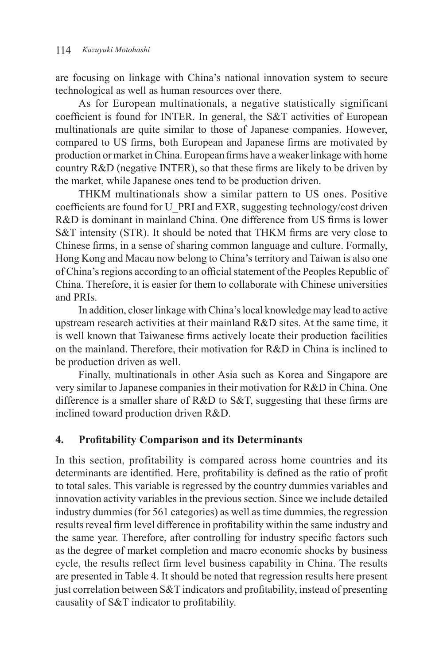are focusing on linkage with China's national innovation system to secure technological as well as human resources over there.

As for European multinationals, a negative statistically significant coefficient is found for INTER. In general, the S&T activities of European multinationals are quite similar to those of Japanese companies. However, compared to US firms, both European and Japanese firms are motivated by production or market in China. European firms have a weaker linkage with home country R&D (negative INTER), so that these firms are likely to be driven by the market, while Japanese ones tend to be production driven.

THKM multinationals show a similar pattern to US ones. Positive coefficients are found for U\_PRI and EXR, suggesting technology/cost driven R&D is dominant in mainland China. One difference from US firms is lower S&T intensity (STR). It should be noted that THKM firms are very close to Chinese firms, in a sense of sharing common language and culture. Formally, Hong Kong and Macau now belong to China's territory and Taiwan is also one of China's regions according to an official statement of the Peoples Republic of China. Therefore, it is easier for them to collaborate with Chinese universities and PRIs.

In addition, closer linkage with China's local knowledge may lead to active upstream research activities at their mainland R&D sites. At the same time, it is well known that Taiwanese firms actively locate their production facilities on the mainland. Therefore, their motivation for R&D in China is inclined to be production driven as well.

Finally, multinationals in other Asia such as Korea and Singapore are very similar to Japanese companies in their motivation for R&D in China. One difference is a smaller share of R&D to S&T, suggesting that these firms are inclined toward production driven R&D.

#### **4. Profitability Comparison and its Determinants**

In this section, profitability is compared across home countries and its determinants are identified. Here, profitability is defined as the ratio of profit to total sales. This variable is regressed by the country dummies variables and innovation activity variables in the previous section. Since we include detailed industry dummies (for 561 categories) as well as time dummies, the regression results reveal firm level difference in profitability within the same industry and the same year. Therefore, after controlling for industry specific factors such as the degree of market completion and macro economic shocks by business cycle, the results reflect firm level business capability in China. The results are presented in Table 4. It should be noted that regression results here present just correlation between S&T indicators and profitability, instead of presenting causality of S&T indicator to profitability.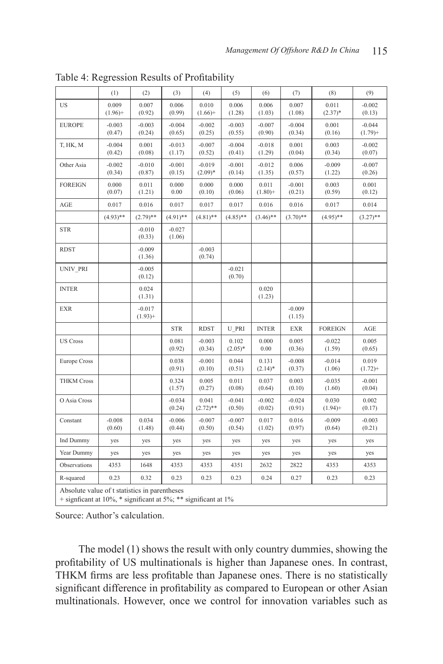|                     | (1)                                                                                                                  | (2)                    | (3)                | (4)                   | (5)                | (6)                 | (7)                | (8)                 | (9)                    |
|---------------------|----------------------------------------------------------------------------------------------------------------------|------------------------|--------------------|-----------------------|--------------------|---------------------|--------------------|---------------------|------------------------|
| US                  | 0.009<br>$(1.96) +$                                                                                                  | 0.007<br>(0.92)        | 0.006<br>(0.99)    | 0.010<br>$(1.66) +$   | 0.006<br>(1.28)    | 0.006<br>(1.03)     | 0.007<br>(1.08)    | 0.011<br>$(2.37)*$  | $-0.002$<br>(0.13)     |
| <b>EUROPE</b>       | $-0.003$<br>(0.47)                                                                                                   | $-0.003$<br>(0.24)     | $-0.004$<br>(0.65) | $-0.002$<br>(0.25)    | $-0.003$<br>(0.55) | $-0.007$<br>(0.90)  | $-0.004$<br>(0.34) | 0.001<br>(0.16)     | $-0.044$<br>$(1.79) +$ |
| T, HK, M            | $-0.004$<br>(0.42)                                                                                                   | 0.001<br>(0.08)        | $-0.013$<br>(1.17) | $-0.007$<br>(0.52)    | $-0.004$<br>(0.41) | $-0.018$<br>(1.29)  | 0.001<br>(0.04)    | 0.003<br>(0.34)     | $-0.002$<br>(0.07)     |
| Other Asia          | $-0.002$<br>(0.34)                                                                                                   | $-0.010$<br>(0.87)     | $-0.001$<br>(0.15) | $-0.019$<br>$(2.09)*$ | $-0.001$<br>(0.14) | $-0.012$<br>(1.35)  | 0.006<br>(0.57)    | $-0.009$<br>(1.22)  | $-0.007$<br>(0.26)     |
| <b>FOREIGN</b>      | 0.000<br>(0.07)                                                                                                      | 0.011<br>(1.21)        | 0.000<br>0.00      | 0.000<br>(0.10)       | 0.000<br>(0.06)    | 0.011<br>$(1.80)$ + | $-0.001$<br>(0.21) | 0.003<br>(0.59)     | 0.001<br>(0.12)        |
| AGE                 | 0.017                                                                                                                | 0.016                  | 0.017              | 0.017                 | 0.017              | 0.016               | 0.016              | 0.017               | 0.014                  |
|                     | $(4.93)$ **                                                                                                          | $(2.79)$ **            | $(4.91)$ **        | $(4.81)$ **           | $(4.85)$ **        | $(3.46)$ **         | $(3.70)$ **        | $(4.95)$ **         | $(3.27)$ **            |
| <b>STR</b>          |                                                                                                                      | $-0.010$<br>(0.33)     | $-0.027$<br>(1.06) |                       |                    |                     |                    |                     |                        |
| <b>RDST</b>         |                                                                                                                      | $-0.009$<br>(1.36)     |                    | $-0.003$<br>(0.74)    |                    |                     |                    |                     |                        |
| UNIV_PRI            |                                                                                                                      | $-0.005$<br>(0.12)     |                    |                       | $-0.021$<br>(0.70) |                     |                    |                     |                        |
| <b>INTER</b>        |                                                                                                                      | 0.024<br>(1.31)        |                    |                       |                    | 0.020<br>(1.23)     |                    |                     |                        |
| <b>EXR</b>          |                                                                                                                      | $-0.017$<br>$(1.93) +$ |                    |                       |                    |                     | $-0.009$<br>(1.15) |                     |                        |
|                     |                                                                                                                      |                        | <b>STR</b>         | <b>RDST</b>           | <b>U_PRI</b>       | <b>INTER</b>        | <b>EXR</b>         | <b>FOREIGN</b>      | AGE                    |
| <b>US Cross</b>     |                                                                                                                      |                        | 0.081<br>(0.92)    | $-0.003$<br>(0.34)    | 0.102<br>$(2.05)*$ | 0.000<br>0.00       | 0.005<br>(0.36)    | $-0.022$<br>(1.59)  | 0.005<br>(0.65)        |
| <b>Europe Cross</b> |                                                                                                                      |                        | 0.038<br>(0.91)    | $-0.001$<br>(0.10)    | 0.044<br>(0.51)    | 0.131<br>$(2.14)^*$ | $-0.008$<br>(0.37) | $-0.014$<br>(1.06)  | 0.019<br>$(1.72)$ +    |
| <b>THKM Cross</b>   |                                                                                                                      |                        | 0.324<br>(1.57)    | 0.005<br>(0.27)       | 0.011<br>(0.08)    | 0.037<br>(0.64)     | 0.003<br>(0.10)    | $-0.035$<br>(1.60)  | $-0.001$<br>(0.04)     |
| O Asia Cross        |                                                                                                                      |                        | $-0.034$<br>(0.24) | 0.041<br>$(2.72)$ **  | $-0.041$<br>(0.50) | $-0.002$<br>(0.02)  | $-0.024$<br>(0.91) | 0.030<br>$(1.94) +$ | 0.002<br>(0.17)        |
| Constant            | $-0.008$<br>(0.60)                                                                                                   | 0.034<br>(1.48)        | $-0.006$<br>(0.44) | $-0.007$<br>(0.50)    | $-0.007$<br>(0.54) | 0.017<br>(1.02)     | 0.016<br>(0.97)    | $-0.009$<br>(0.64)  | $-0.003$<br>(0.21)     |
| Ind Dummy           | yes                                                                                                                  | yes                    | yes                | yes                   | yes                | yes                 | yes                | yes                 | yes                    |
| Year Dummy          | yes                                                                                                                  | yes                    | yes                | yes                   | yes                | yes                 | yes                | yes                 | yes                    |
| Observations        | 4353                                                                                                                 | 1648                   | 4353               | 4353                  | 4351               | 2632                | 2822               | 4353                | 4353                   |
| R-squared           | 0.23                                                                                                                 | 0.32                   | 0.23               | 0.23                  | 0.23               | 0.24                | 0.27               | 0.23                | 0.23                   |
|                     | Absolute value of t statistics in parentheses<br>+ significant at 10%, $*$ significant at 5%; $**$ significant at 1% |                        |                    |                       |                    |                     |                    |                     |                        |

Table 4: Regression Results of Profitability

Source: Author's calculation.

The model (1) shows the result with only country dummies, showing the profitability of US multinationals is higher than Japanese ones. In contrast, THKM firms are less profitable than Japanese ones. There is no statistically significant difference in profitability as compared to European or other Asian multinationals. However, once we control for innovation variables such as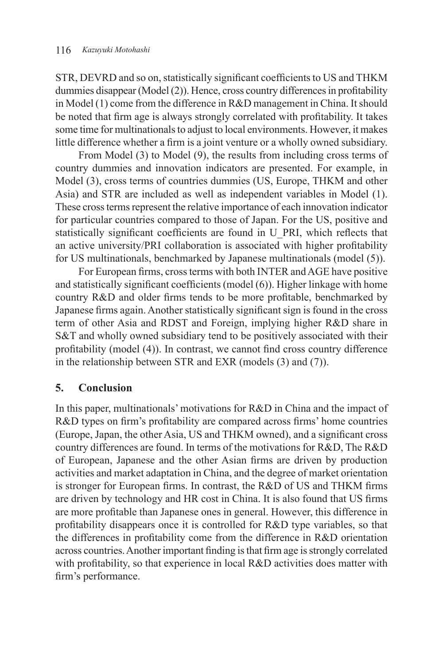STR, DEVRD and so on, statistically significant coefficients to US and THKM dummies disappear (Model (2)). Hence, cross country differences in profitability in Model (1) come from the difference in R&D management in China. It should be noted that firm age is always strongly correlated with profitability. It takes some time for multinationals to adjust to local environments. However, it makes little difference whether a firm is a joint venture or a wholly owned subsidiary.

From Model (3) to Model (9), the results from including cross terms of country dummies and innovation indicators are presented. For example, in Model (3), cross terms of countries dummies (US, Europe, THKM and other Asia) and STR are included as well as independent variables in Model (1). These cross terms represent the relative importance of each innovation indicator for particular countries compared to those of Japan. For the US, positive and statistically significant coefficients are found in U\_PRI, which reflects that an active university/PRI collaboration is associated with higher profitability for US multinationals, benchmarked by Japanese multinationals (model (5)).

For European firms, cross terms with both INTER and AGE have positive and statistically significant coefficients (model (6)). Higher linkage with home country R&D and older firms tends to be more profitable, benchmarked by Japanese firms again. Another statistically significant sign is found in the cross term of other Asia and RDST and Foreign, implying higher R&D share in S&T and wholly owned subsidiary tend to be positively associated with their profitability (model (4)). In contrast, we cannot find cross country difference in the relationship between STR and EXR (models (3) and (7)).

# **5. Conclusion**

In this paper, multinationals' motivations for R&D in China and the impact of R&D types on firm's profitability are compared across firms' home countries (Europe, Japan, the other Asia, US and THKM owned), and a significant cross country differences are found. In terms of the motivations for R&D, The R&D of European, Japanese and the other Asian firms are driven by production activities and market adaptation in China, and the degree of market orientation is stronger for European firms. In contrast, the R&D of US and THKM firms are driven by technology and HR cost in China. It is also found that US firms are more profitable than Japanese ones in general. However, this difference in profitability disappears once it is controlled for R&D type variables, so that the differences in profitability come from the difference in R&D orientation across countries. Another important finding is that firm age is strongly correlated with profitability, so that experience in local R&D activities does matter with firm's performance.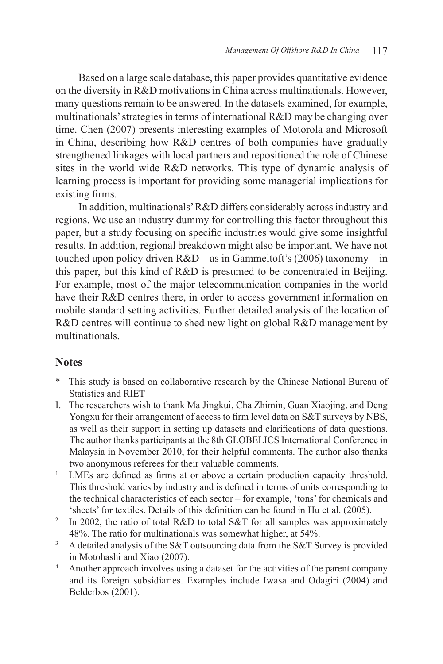Based on a large scale database, this paper provides quantitative evidence on the diversity in R&D motivations in China across multinationals. However, many questions remain to be answered. In the datasets examined, for example, multinationals' strategies in terms of international R&D may be changing over time. Chen (2007) presents interesting examples of Motorola and Microsoft in China, describing how R&D centres of both companies have gradually strengthened linkages with local partners and repositioned the role of Chinese sites in the world wide R&D networks. This type of dynamic analysis of learning process is important for providing some managerial implications for existing firms.

In addition, multinationals' R&D differs considerably across industry and regions. We use an industry dummy for controlling this factor throughout this paper, but a study focusing on specific industries would give some insightful results. In addition, regional breakdown might also be important. We have not touched upon policy driven  $R&D - as$  in Gammeltoft's (2006) taxonomy – in this paper, but this kind of R&D is presumed to be concentrated in Beijing. For example, most of the major telecommunication companies in the world have their R&D centres there, in order to access government information on mobile standard setting activities. Further detailed analysis of the location of R&D centres will continue to shed new light on global R&D management by multinationals.

#### **Notes**

- \* This study is based on collaborative research by the Chinese National Bureau of Statistics and RIET
- I. The researchers wish to thank Ma Jingkui, Cha Zhimin, Guan Xiaojing, and Deng Yongxu for their arrangement of access to firm level data on S&T surveys by NBS, as well as their support in setting up datasets and clarifications of data questions. The author thanks participants at the 8th GLOBELICS International Conference in Malaysia in November 2010, for their helpful comments. The author also thanks two anonymous referees for their valuable comments.
- 1 LMEs are defined as firms at or above a certain production capacity threshold. This threshold varies by industry and is defined in terms of units corresponding to the technical characteristics of each sector – for example, 'tons' for chemicals and 'sheets' for textiles. Details of this definition can be found in Hu et al. (2005).
- 2 In 2002, the ratio of total R&D to total S&T for all samples was approximately 48%. The ratio for multinationals was somewhat higher, at 54%.
- 3 A detailed analysis of the S&T outsourcing data from the S&T Survey is provided in Motohashi and Xiao (2007).
- 4 Another approach involves using a dataset for the activities of the parent company and its foreign subsidiaries. Examples include Iwasa and Odagiri (2004) and Belderbos (2001).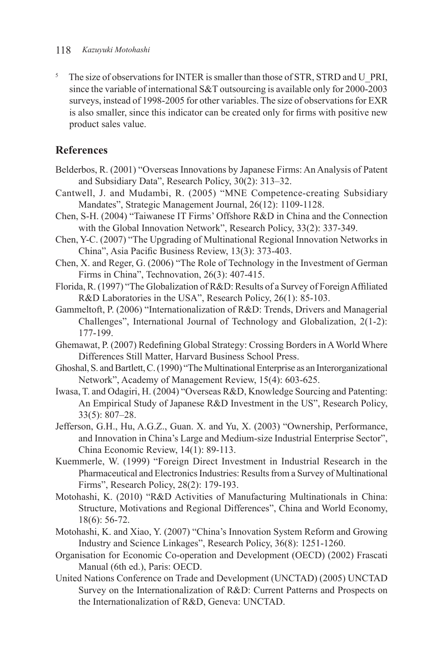#### 118 *Kazuyuki Motohashi*

<sup>5</sup> The size of observations for INTER is smaller than those of STR, STRD and U\_PRI, since the variable of international S&T outsourcing is available only for 2000-2003 surveys, instead of 1998-2005 for other variables. The size of observations for EXR is also smaller, since this indicator can be created only for firms with positive new product sales value.

## **References**

- Belderbos, R. (2001) "Overseas Innovations by Japanese Firms: An Analysis of Patent and Subsidiary Data", Research Policy, 30(2): 313–32.
- Cantwell, J. and Mudambi, R. (2005) "MNE Competence-creating Subsidiary Mandates", Strategic Management Journal, 26(12): 1109-1128.
- Chen, S-H. (2004) "Taiwanese IT Firms' Offshore R&D in China and the Connection with the Global Innovation Network", Research Policy, 33(2): 337-349.
- Chen, Y-C. (2007) "The Upgrading of Multinational Regional Innovation Networks in China", Asia Pacific Business Review, 13(3): 373-403.
- Chen, X. and Reger, G. (2006) "The Role of Technology in the Investment of German Firms in China", Technovation, 26(3): 407-415.
- Florida, R. (1997) "The Globalization of R&D: Results of a Survey of Foreign Affiliated R&D Laboratories in the USA", Research Policy, 26(1): 85-103.
- Gammeltoft, P. (2006) "Internationalization of R&D: Trends, Drivers and Managerial Challenges", International Journal of Technology and Globalization, 2(1-2): 177-199.
- Ghemawat, P. (2007) Redefining Global Strategy: Crossing Borders in A World Where Differences Still Matter, Harvard Business School Press.
- Ghoshal, S. and Bartlett, C. (1990) "The Multinational Enterprise as an Interorganizational Network", Academy of Management Review, 15(4): 603-625.
- Iwasa, T. and Odagiri, H. (2004) "Overseas R&D, Knowledge Sourcing and Patenting: An Empirical Study of Japanese R&D Investment in the US", Research Policy, 33(5): 807–28.
- Jefferson, G.H., Hu, A.G.Z., Guan. X. and Yu, X. (2003) "Ownership, Performance, and Innovation in China's Large and Medium-size Industrial Enterprise Sector", China Economic Review, 14(1): 89-113.
- Kuemmerle, W. (1999) "Foreign Direct Investment in Industrial Research in the Pharmaceutical and Electronics Industries: Results from a Survey of Multinational Firms", Research Policy, 28(2): 179-193.
- Motohashi, K. (2010) "R&D Activities of Manufacturing Multinationals in China: Structure, Motivations and Regional Differences", China and World Economy, 18(6): 56-72.
- Motohashi, K. and Xiao, Y. (2007) "China's Innovation System Reform and Growing Industry and Science Linkages", Research Policy, 36(8): 1251-1260.
- Organisation for Economic Co-operation and Development (OECD) (2002) Frascati Manual (6th ed.), Paris: OECD.
- United Nations Conference on Trade and Development (UNCTAD) (2005) UNCTAD Survey on the Internationalization of R&D: Current Patterns and Prospects on the Internationalization of R&D, Geneva: UNCTAD.